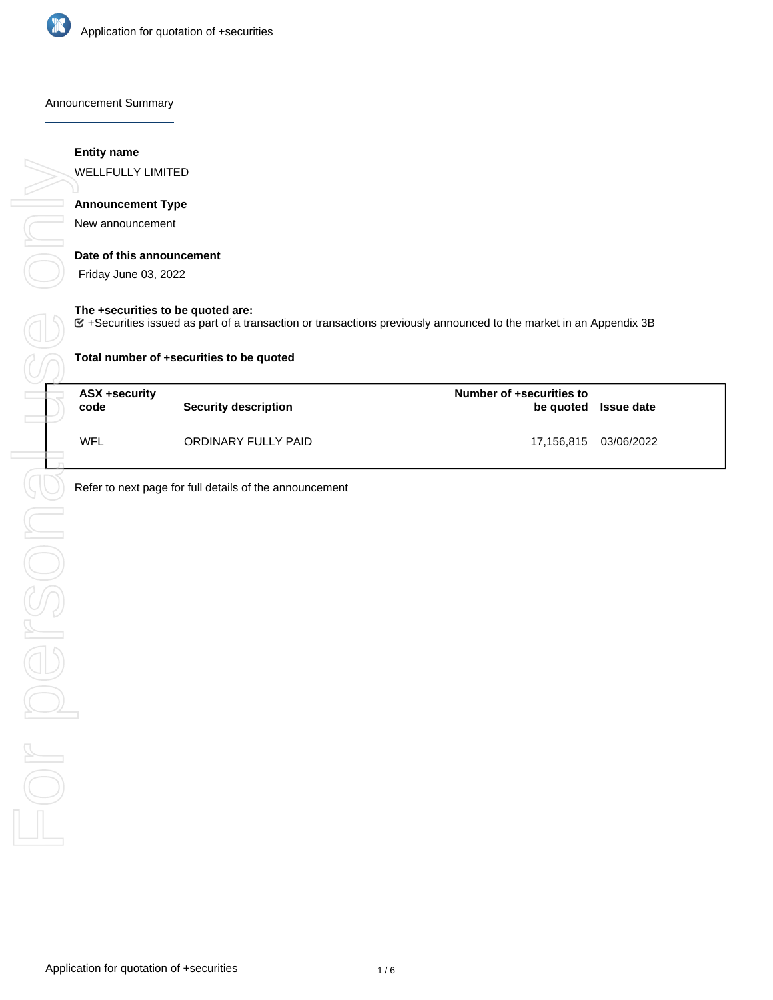

Announcement Summary

### **Entity name**

WELLFULLY LIMITED

# **Announcement Type**

New announcement

### **Date of this announcement**

Friday June 03, 2022

### **The +securities to be quoted are:**

+Securities issued as part of a transaction or transactions previously announced to the market in an Appendix 3B

| Total number of +securities to be quoted |                             |                                       |                       |  |  |
|------------------------------------------|-----------------------------|---------------------------------------|-----------------------|--|--|
| ASX +security<br>code                    | <b>Security description</b> | Number of +securities to<br>be quoted | <b>Issue date</b>     |  |  |
| WFL                                      | ORDINARY FULLY PAID         |                                       | 17,156,815 03/06/2022 |  |  |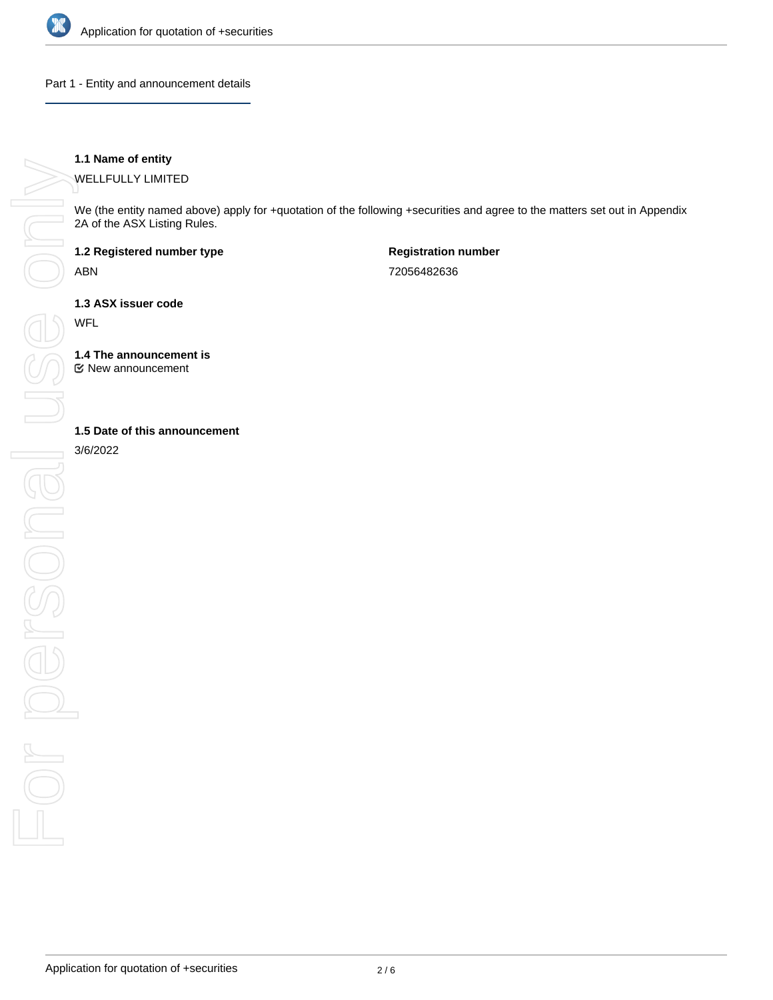

Part 1 - Entity and announcement details

## **1.1 Name of entity**

WELLFULLY LIMITED

We (the entity named above) apply for +quotation of the following +securities and agree to the matters set out in Appendix 2A of the ASX Listing Rules.

**1.2 Registered number type**

ABN

**Registration number** 72056482636

**1.3 ASX issuer code**

WFL

**1.4 The announcement is**

New announcement

3/6/2022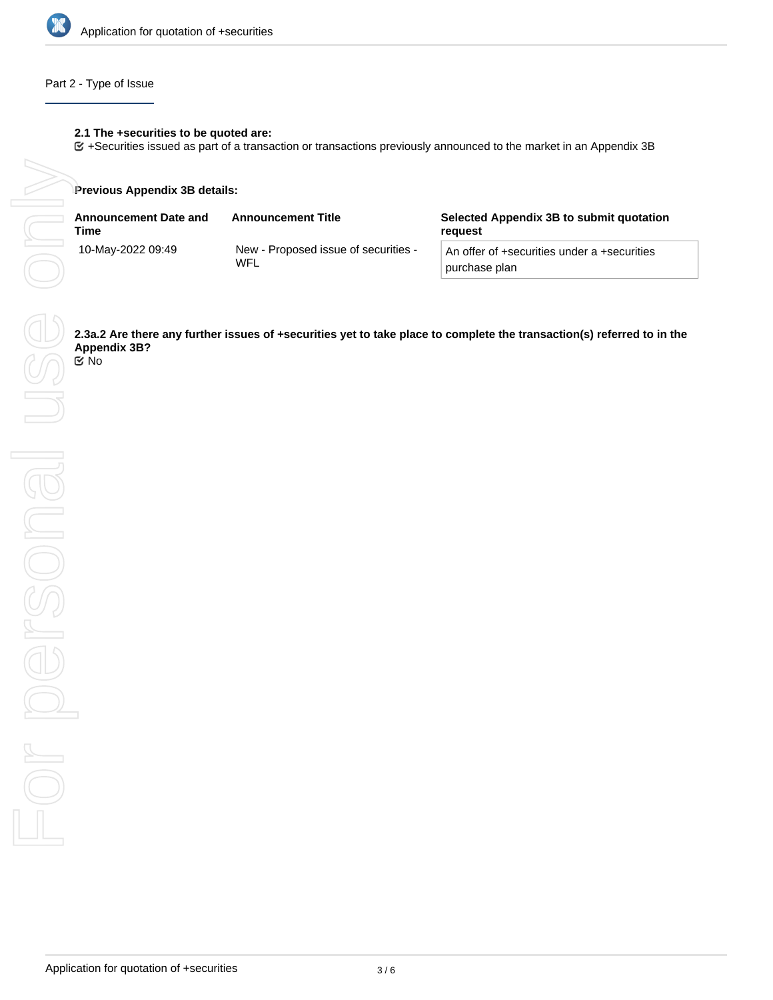

# Part 2 - Type of Issue

## **2.1 The +securities to be quoted are:**

+Securities issued as part of a transaction or transactions previously announced to the market in an Appendix 3B

### **Previous Appendix 3B details:**

| <b>Announcement Date and</b><br>Time | <b>Announcement Title</b>                   | Selected Appendix 3B to submit quotation<br>reguest          |
|--------------------------------------|---------------------------------------------|--------------------------------------------------------------|
| 10-May-2022 09:49                    | New - Proposed issue of securities -<br>WFL | An offer of +securities under a +securities<br>purchase plan |

**Appendix 3B?**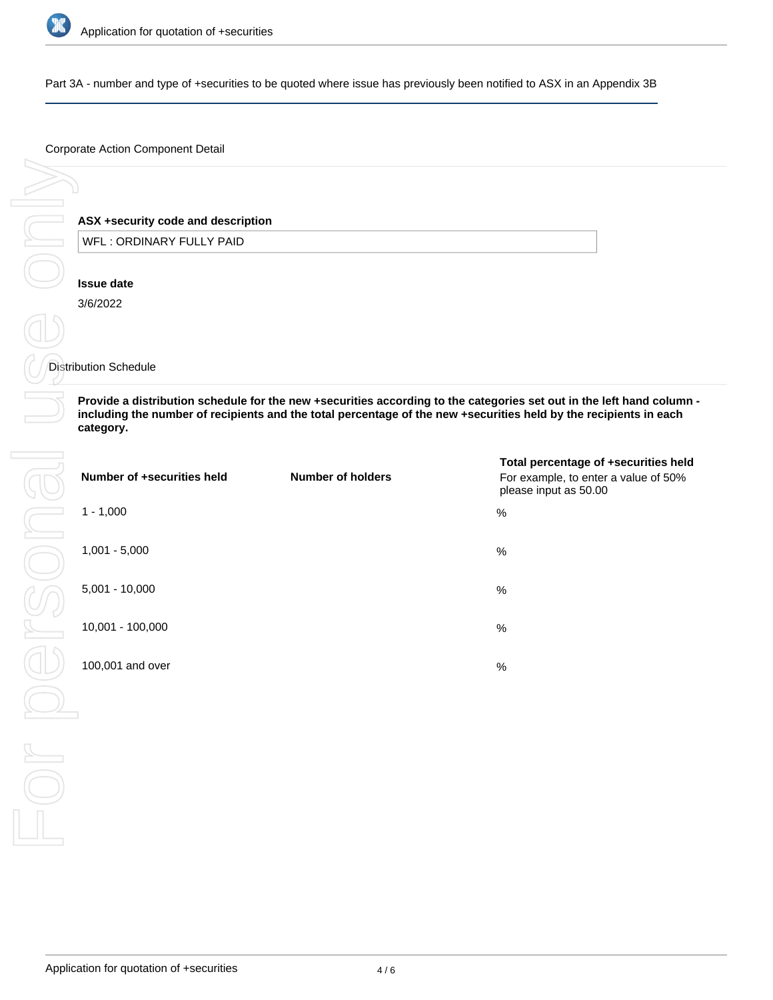

Part 3A - number and type of +securities to be quoted where issue has previously been notified to ASX in an Appendix 3B

### Corporate Action Component Detail

# **ASX +security code and description**

WFL : ORDINARY FULLY PAID

### **Issue date**

3/6/2022

## Distribution Schedule

**Provide a distribution schedule for the new +securities according to the categories set out in the left hand column including the number of recipients and the total percentage of the new +securities held by the recipients in each category.**

| Number of +securities held | Number of holders | Total percentage of +securities held<br>For example, to enter a value of 50%<br>please input as 50.00 |
|----------------------------|-------------------|-------------------------------------------------------------------------------------------------------|
| $1 - 1,000$                |                   | $\frac{0}{0}$                                                                                         |
| $1,001 - 5,000$            |                   | %                                                                                                     |
| $5,001 - 10,000$           |                   | %                                                                                                     |
| 10,001 - 100,000           |                   | %                                                                                                     |
| 100,001 and over           |                   | %                                                                                                     |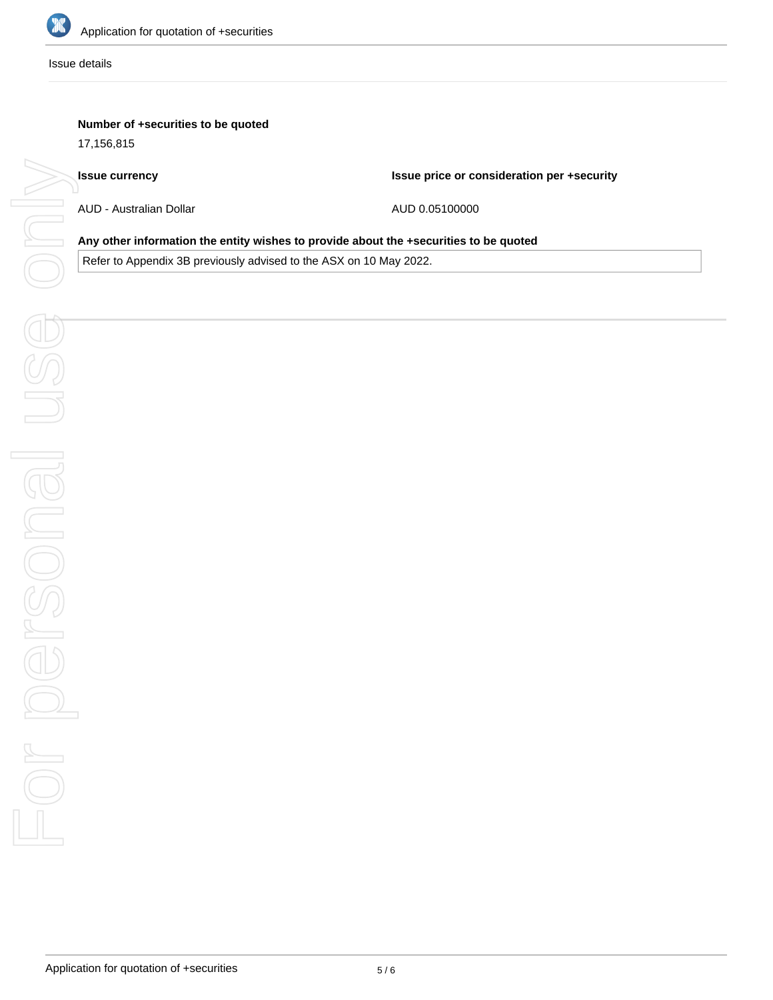

Issue details

# **Number of +securities to be quoted**

17,156,815

### **Issue currency**

**Issue price or consideration per +security**

AUD - Australian Dollar

AUD 0.05100000

### **Any other information the entity wishes to provide about the +securities to be quoted**

Refer to Appendix 3B previously advised to the ASX on 10 May 2022.